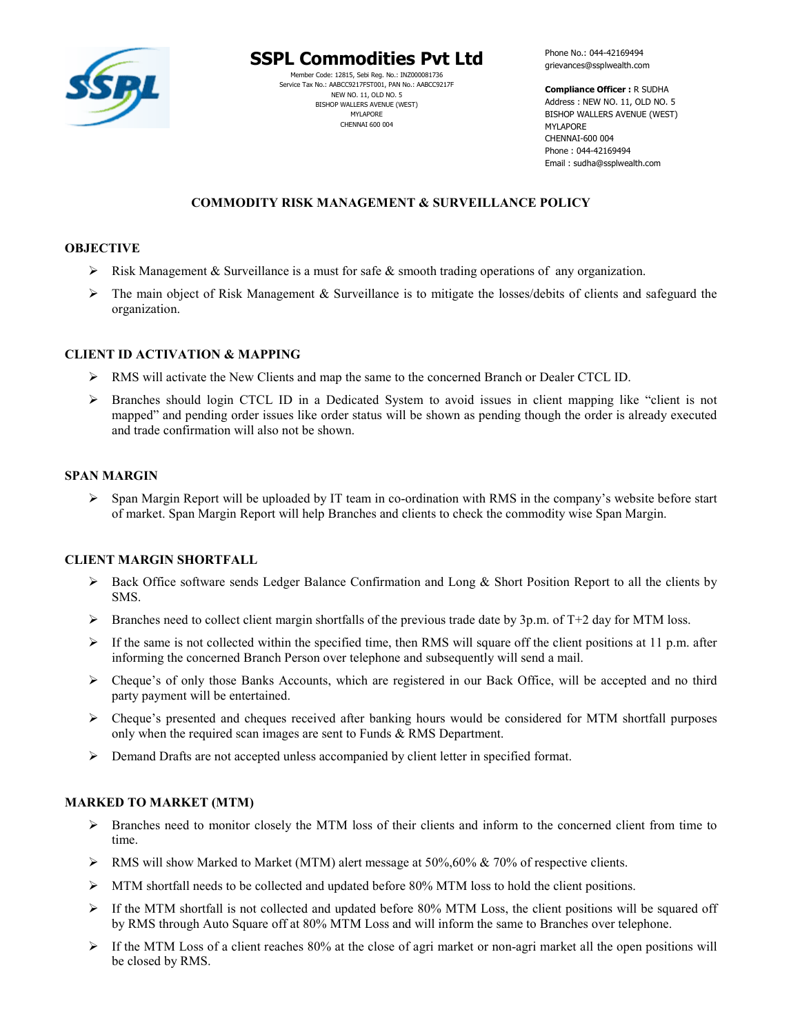

# **SSPL Commodities Pvt Ltd**

Member Code: 12815, Sebi Reg. No.: INZ000081736 Service Tax No.: AABCC9217FST001, PAN No.: AABCC9217F NEW NO. 11, OLD NO. 5 BISHOP WALLERS AVENUE (WEST) MYLAPORE CHENNAI 600 004

Phone No.: 044-42169494 grievances@ssplwealth.com

**Compliance Officer :** R SUDHA Address : NEW NO. 11, OLD NO. 5 BISHOP WALLERS AVENUE (WEST) MYLAPORE CHENNAI-600 004 Phone : 044-42169494 Email : sudha@ssplwealth.com

# **COMMODITY RISK MANAGEMENT & SURVEILLANCE POLICY**

# **OBJECTIVE**

- $\triangleright$  Risk Management & Surveillance is a must for safe & smooth trading operations of any organization.
- $\triangleright$  The main object of Risk Management & Surveillance is to mitigate the losses/debits of clients and safeguard the organization.

## **CLIENT ID ACTIVATION & MAPPING**

- RMS will activate the New Clients and map the same to the concerned Branch or Dealer CTCL ID.
- $\triangleright$  Branches should login CTCL ID in a Dedicated System to avoid issues in client mapping like "client is not mapped" and pending order issues like order status will be shown as pending though the order is already executed and trade confirmation will also not be shown.

## **SPAN MARGIN**

 $\triangleright$  Span Margin Report will be uploaded by IT team in co-ordination with RMS in the company's website before start of market. Span Margin Report will help Branches and clients to check the commodity wise Span Margin.

## **CLIENT MARGIN SHORTFALL**

- $\triangleright$  Back Office software sends Ledger Balance Confirmation and Long & Short Position Report to all the clients by SMS.
- $\triangleright$  Branches need to collect client margin shortfalls of the previous trade date by 3p.m. of T+2 day for MTM loss.
- $\triangleright$  If the same is not collected within the specified time, then RMS will square off the client positions at 11 p.m. after informing the concerned Branch Person over telephone and subsequently will send a mail.
- Cheque's of only those Banks Accounts, which are registered in our Back Office, will be accepted and no third party payment will be entertained.
- $\triangleright$  Cheque's presented and cheques received after banking hours would be considered for MTM shortfall purposes only when the required scan images are sent to Funds & RMS Department.
- $\triangleright$  Demand Drafts are not accepted unless accompanied by client letter in specified format.

## **MARKED TO MARKET (MTM)**

- $\triangleright$  Branches need to monitor closely the MTM loss of their clients and inform to the concerned client from time to time.
- $\triangleright$  RMS will show Marked to Market (MTM) alert message at 50%,60% & 70% of respective clients.
- $\triangleright$  MTM shortfall needs to be collected and updated before 80% MTM loss to hold the client positions.
- $\triangleright$  If the MTM shortfall is not collected and updated before 80% MTM Loss, the client positions will be squared off by RMS through Auto Square off at 80% MTM Loss and will inform the same to Branches over telephone.
- If the MTM Loss of a client reaches 80% at the close of agri market or non-agri market all the open positions will be closed by RMS.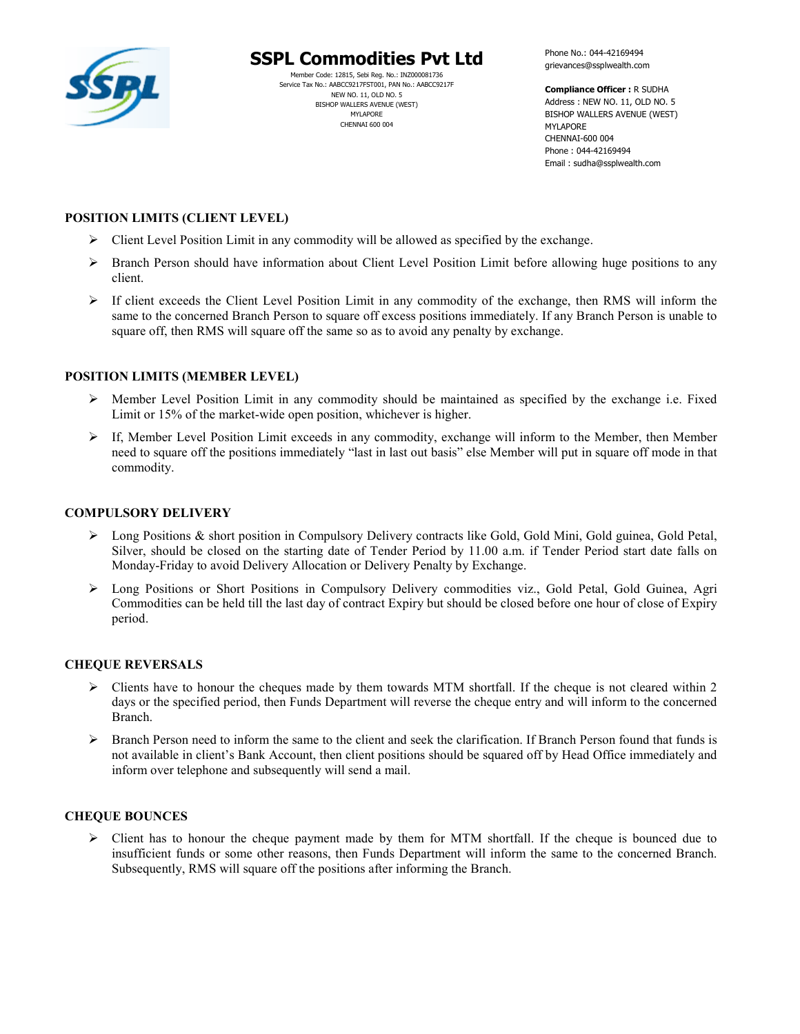

# **SSPL Commodities Pvt Ltd**

Member Code: 12815, Sebi Reg. No.: INZ000081736 Service Tax No.: AABCC9217FST001, PAN No.: AABCC9217F NEW NO. 11, OLD NO. 5 BISHOP WALLERS AVENUE (WEST) MYLAPORE CHENNAI 600 004

Phone No.: 044-42169494 grievances@ssplwealth.com

**Compliance Officer :** R SUDHA Address : NEW NO. 11, OLD NO. 5 BISHOP WALLERS AVENUE (WEST) MYLAPORE CHENNAI-600 004 Phone : 044-42169494 Email : sudha@ssplwealth.com

# **POSITION LIMITS (CLIENT LEVEL)**

- $\triangleright$  Client Level Position Limit in any commodity will be allowed as specified by the exchange.
- $\triangleright$  Branch Person should have information about Client Level Position Limit before allowing huge positions to any client.
- $\triangleright$  If client exceeds the Client Level Position Limit in any commodity of the exchange, then RMS will inform the same to the concerned Branch Person to square off excess positions immediately. If any Branch Person is unable to square off, then RMS will square off the same so as to avoid any penalty by exchange.

# **POSITION LIMITS (MEMBER LEVEL)**

- $\triangleright$  Member Level Position Limit in any commodity should be maintained as specified by the exchange i.e. Fixed Limit or 15% of the market-wide open position, whichever is higher.
- $\triangleright$  If, Member Level Position Limit exceeds in any commodity, exchange will inform to the Member, then Member need to square off the positions immediately "last in last out basis" else Member will put in square off mode in that commodity.

# **COMPULSORY DELIVERY**

- Long Positions & short position in Compulsory Delivery contracts like Gold, Gold Mini, Gold guinea, Gold Petal, Silver, should be closed on the starting date of Tender Period by 11.00 a.m. if Tender Period start date falls on Monday-Friday to avoid Delivery Allocation or Delivery Penalty by Exchange.
- ▶ Long Positions or Short Positions in Compulsory Delivery commodities viz., Gold Petal, Gold Guinea, Agri Commodities can be held till the last day of contract Expiry but should be closed before one hour of close of Expiry period.

## **CHEQUE REVERSALS**

- $\triangleright$  Clients have to honour the cheques made by them towards MTM shortfall. If the cheque is not cleared within 2 days or the specified period, then Funds Department will reverse the cheque entry and will inform to the concerned Branch.
- $\triangleright$  Branch Person need to inform the same to the client and seek the clarification. If Branch Person found that funds is not available in client's Bank Account, then client positions should be squared off by Head Office immediately and inform over telephone and subsequently will send a mail.

## **CHEQUE BOUNCES**

 $\triangleright$  Client has to honour the cheque payment made by them for MTM shortfall. If the cheque is bounced due to insufficient funds or some other reasons, then Funds Department will inform the same to the concerned Branch. Subsequently, RMS will square off the positions after informing the Branch.